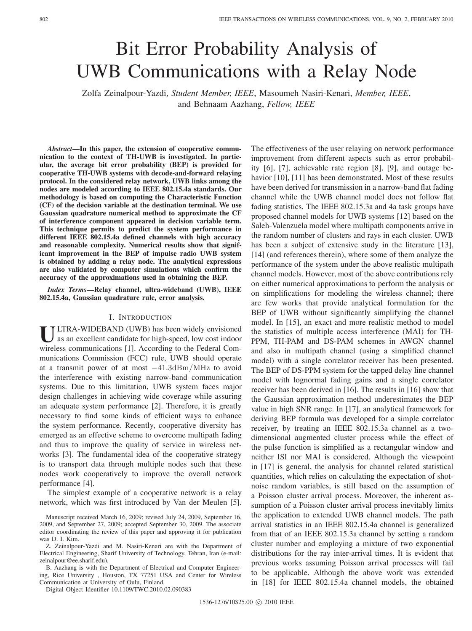# Bit Error Probability Analysis of UWB Communications with a Relay Node

Zolfa Zeinalpour-Yazdi, *Student Member, IEEE*, Masoumeh Nasiri-Kenari, *Member, IEEE*, and Behnaam Aazhang, *Fellow, IEEE*

*Abstract***—In this paper, the extension of cooperative communication to the context of TH-UWB is investigated. In particular, the average bit error probability (BEP) is provided for cooperative TH-UWB systems with decode-and-forward relaying protocol. In the considered relay network, UWB links among the nodes are modeled according to IEEE 802.15.4a standards. Our methodology is based on computing the Characteristic Function (CF) of the decision variable at the destination terminal. We use Gaussian quadrature numerical method to approximate the CF of interference component appeared in decision variable term. This technique permits to predict the system performance in different IEEE 802.15.4a defined channels with high accuracy and reasonable complexity. Numerical results show that significant improvement in the BEP of impulse radio UWB system is obtained by adding a relay node. The analytical expressions are also validated by computer simulations which confirm the accuracy of the approximations used in obtaining the BEP.**

*Index Terms***—Relay channel, ultra-wideband (UWB), IEEE 802.15.4a, Gaussian quadrature rule, error analysis.**

## I. INTRODUCTION

ULTRA-WIDEBAND (UWB) has been widely envisioned<br>as an excellent candidate for high-speed, low cost indoor wireless communications [1]. According to the Federal Communications Commission (FCC) rule, UWB should operate at a transmit power of at most −41.3dBm/MHz to avoid the interference with existing narrow-band communication systems. Due to this limitation, UWB system faces major design challenges in achieving wide coverage while assuring an adequate system performance [2]. Therefore, it is greatly necessary to find some kinds of efficient ways to enhance the system performance. Recently, cooperative diversity has emerged as an effective scheme to overcome multipath fading and thus to improve the quality of service in wireless networks [3]. The fundamental idea of the cooperative strategy is to transport data through multiple nodes such that these nodes work cooperatively to improve the overall network performance [4].

The simplest example of a cooperative network is a relay network, which was first introduced by Van der Meulen [5].

Digital Object Identifier 10.1109/TWC.2010.02.090383

The effectiveness of the user relaying on network performance improvement from different aspects such as error probability [6], [7], achievable rate region [8], [9], and outage behavior [10], [11] has been demonstrated. Most of these results have been derived for transmission in a narrow-band flat fading channel while the UWB channel model does not follow flat fading statistics. The IEEE 802.15.3a and 4a task groups have proposed channel models for UWB systems [12] based on the Saleh-Valenzuela model where multipath components arrive in the random number of clusters and rays in each cluster. UWB has been a subject of extensive study in the literature [13], [14] (and references therein), where some of them analyze the performance of the system under the above realistic multipath channel models. However, most of the above contributions rely on either numerical approximations to perform the analysis or on simplifications for modeling the wireless channel; there are few works that provide analytical formulation for the BEP of UWB without significantly simplifying the channel model. In [15], an exact and more realistic method to model the statistics of multiple access interference (MAI) for TH-PPM, TH-PAM and DS-PAM schemes in AWGN channel and also in multipath channel (using a simplified channel model) with a single correlator receiver has been presented. The BEP of DS-PPM system for the tapped delay line channel model with lognormal fading gains and a single correlator receiver has been derived in [16]. The results in [16] show that the Gaussian approximation method underestimates the BEP value in high SNR range. In [17], an analytical framework for deriving BEP formula was developed for a simple correlator receiver, by treating an IEEE 802.15.3a channel as a twodimensional augmented cluster process while the effect of the pulse function is simplified as a rectangular window and neither ISI nor MAI is considered. Although the viewpoint in [17] is general, the analysis for channel related statistical quantities, which relies on calculating the expectation of shotnoise random variables, is still based on the assumption of a Poisson cluster arrival process. Moreover, the inherent assumption of a Poisson cluster arrival process inevitably limits the application to extended UWB channel models. The path arrival statistics in an IEEE 802.15.4a channel is generalized from that of an IEEE 802.15.3a channel by setting a random cluster number and employing a mixture of two exponential distributions for the ray inter-arrival times. It is evident that previous works assuming Poisson arrival processes will fail to be applicable. Although the above work was extended in [18] for IEEE 802.15.4a channel models, the obtained

Manuscript received March 16, 2009; revised July 24, 2009, September 16, 2009, and September 27, 2009; accepted September 30, 2009. The associate editor coordinating the review of this paper and approving it for publication was D. I. Kim.

Z. Zeinalpour-Yazdi and M. Nasiri-Kenari are with the Department of Electrical Engineering, Sharif University of Technology, Tehran, Iran (e-mail: zeinalpour@ee.sharif.edu).

B. Aazhang is with the Department of Electrical and Computer Engineering, Rice University , Houston, TX 77251 USA and Center for Wireless Communication at University of Oulu, Finland.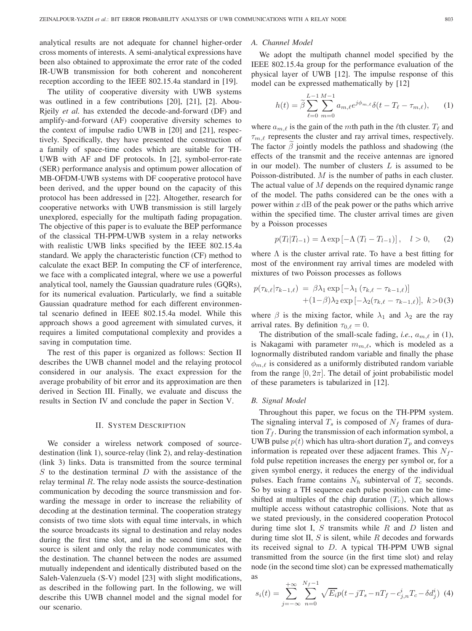analytical results are not adequate for channel higher-order cross moments of interests. A semi-analytical expressions have been also obtained to approximate the error rate of the coded IR-UWB transmission for both coherent and noncoherent reception according to the IEEE 802.15.4a standard in [19].

The utility of cooperative diversity with UWB systems was outlined in a few contributions [20], [21], [2]. Abou-Rjeily *et al.* has extended the decode-and-forward (DF) and amplify-and-forward (AF) cooperative diversity schemes to the context of impulse radio UWB in [20] and [21], respectively. Specifically, they have presented the construction of a family of space-time codes which are suitable for TH-UWB with AF and DF protocols. In [2], symbol-error-rate (SER) performance analysis and optimum power allocation of MB-OFDM-UWB systems with DF cooperative protocol have been derived, and the upper bound on the capacity of this protocol has been addressed in [22]. Altogether, research for cooperative networks with UWB transmission is still largely unexplored, especially for the multipath fading propagation. The objective of this paper is to evaluate the BEP performance of the classical TH-PPM-UWB system in a relay networks with realistic UWB links specified by the IEEE 802.15.4a standard. We apply the characteristic function (CF) method to calculate the exact BEP. In computing the CF of interference, we face with a complicated integral, where we use a powerful analytical tool, namely the Gaussian quadrature rules (GQRs), for its numerical evaluation. Particularly, we find a suitable Gaussian quadrature method for each different environmental scenario defined in IEEE 802.15.4a model. While this approach shows a good agreement with simulated curves, it requires a limited computational complexity and provides a saving in computation time.

The rest of this paper is organized as follows: Section II describes the UWB channel model and the relaying protocol considered in our analysis. The exact expression for the average probability of bit error and its approximation are then derived in Section III. Finally, we evaluate and discuss the results in Section IV and conclude the paper in Section V.

## II. SYSTEM DESCRIPTION

We consider a wireless network composed of sourcedestination (link 1), source-relay (link 2), and relay-destination (link 3) links. Data is transmitted from the source terminal  $S$  to the destination terminal  $D$  with the assistance of the relay terminal  $R$ . The relay node assists the source-destination communication by decoding the source transmission and forwarding the message in order to increase the reliability of decoding at the destination terminal. The cooperation strategy consists of two time slots with equal time intervals, in which the source broadcasts its signal to destination and relay nodes during the first time slot, and in the second time slot, the source is silent and only the relay node communicates with the destination. The channel between the nodes are assumed mutually independent and identically distributed based on the Saleh-Valenzuela (S-V) model [23] with slight modifications, as described in the following part. In the following, we will describe this UWB channel model and the signal model for our scenario.

#### *A. Channel Model*

We adopt the multipath channel model specified by the IEEE 802.15.4a group for the performance evaluation of the physical layer of UWB [12]. The impulse response of this model can be expressed mathematically by [12]

$$
h(t) = \tilde{\beta} \sum_{\ell=0}^{L-1} \sum_{m=0}^{M-1} a_{m,\ell} e^{j\phi_{m,\ell}} \delta(t - T_{\ell} - \tau_{m,\ell}), \qquad (1)
$$

where  $a_{m,\ell}$  is the gain of the mth path in the  $\ell$ th cluster.  $T_{\ell}$  and  $\tau_{m,\ell}$  represents the cluster and ray arrival times, respectively. The factor  $\beta$  jointly models the pathloss and shadowing (the effects of the transmit and the receive antennas are ignored in our model). The number of clusters  $L$  is assumed to be Poisson-distributed.  $M$  is the number of paths in each cluster. The actual value of  $M$  depends on the required dynamic range of the model. The paths considered can be the ones with a power within  $x \, dB$  of the peak power or the paths which arrive within the specified time. The cluster arrival times are given by a Poisson processes

$$
p(T_l|T_{l-1}) = \Lambda \exp\left[-\Lambda (T_l - T_{l-1})\right], \quad l > 0,\tag{2}
$$

where  $\Lambda$  is the cluster arrival rate. To have a best fitting for most of the environment ray arrival times are modeled with mixtures of two Poisson processes as follows

$$
p(\tau_{k,\ell}|\tau_{k-1,\ell}) = \beta \lambda_1 \exp\left[-\lambda_1 \left(\tau_{k,\ell} - \tau_{k-1,\ell}\right)\right] + (1-\beta)\lambda_2 \exp\left[-\lambda_2(\tau_{k,\ell} - \tau_{k-1,\ell})\right], k > 0
$$
(3)

where  $\beta$  is the mixing factor, while  $\lambda_1$  and  $\lambda_2$  are the ray arrival rates. By definition  $\tau_{0,\ell} = 0$ .

The distribution of the small-scale fading, *i.e.*,  $a_{m,\ell}$  in (1), is Nakagami with parameter  $m_{m,\ell}$ , which is modeled as a lognormally distributed random variable and finally the phase  $\phi_{m,\ell}$  is considered as a uniformly distributed random variable from the range  $[0, 2\pi]$ . The detail of joint probabilistic model of these parameters is tabularized in [12].

#### *B. Signal Model*

Throughout this paper, we focus on the TH-PPM system. The signaling interval  $T_s$  is composed of  $N_f$  frames of duration  $T_f$ . During the transmission of each information symbol, a UWB pulse  $p(t)$  which has ultra-short duration  $T_p$  and conveys information is repeated over these adjacent frames. This  $N_f$ fold pulse repetition increases the energy per symbol or, for a given symbol energy, it reduces the energy of the individual pulses. Each frame contains  $N_h$  subinterval of  $T_c$  seconds. So by using a TH sequence each pulse position can be timeshifted at multiples of the chip duration  $(T_c)$ , which allows multiple access without catastrophic collisions. Note that as we stated previously, in the considered cooperation Protocol during time slot I,  $S$  transmits while  $R$  and  $D$  listen and during time slot II,  $S$  is silent, while  $R$  decodes and forwards its received signal to  $D$ . A typical TH-PPM UWB signal transmitted from the source (in the first time slot) and relay node (in the second time slot) can be expressed mathematically as

$$
s_i(t) = \sum_{j=-\infty}^{+\infty} \sum_{n=0}^{N_f - 1} \sqrt{E_i p(t - jT_s - nT_f - c_{j,n}^i T_c - \delta d_j^i)}
$$
 (4)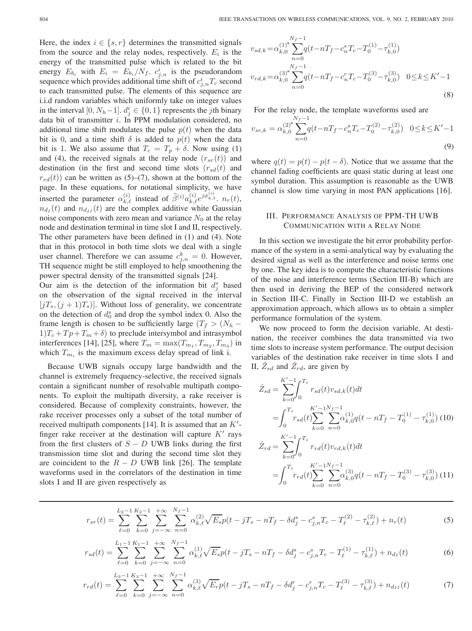Here, the index  $i \in \{s, r\}$  determines the transmitted signals from the source and the relay nodes, respectively.  $E_i$  is the energy of the transmitted pulse which is related to the bit energy  $E_{b_i}$  with  $E_i = E_{b_i}/N_f$ .  $c_{j,n}^i$  is the pseudorandom sequence which provides additional time shift of  $c_{j,n}^i T_c$  second to each transmitted pulse. The elements of this sequence are i.i.d random variables which uniformly take on integer values in the interval [0,  $N_h-1$ ].  $d_j^i \in \{0,1\}$  represents the jth binary data bit of transmitter  $i$ . In PPM modulation considered, no additional time shift modulates the pulse  $p(t)$  when the data bit is 0, and a time shift  $\delta$  is added to  $p(t)$  when the data bit is 1. We also assume that  $T_c = T_p + \delta$ . Now using (1) and (4), the received signals at the relay node  $(r_{sr}(t))$  and destination (in the first and second time slots  $(r_{sd}(t))$  and  $r_{rd}(t)$  can be written as (5)–(7), shown at the bottom of the page. In these equations, for notational simplicity, we have inserted the parameter  $\alpha_{k,\ell}^{(i)}$  instead of  $\tilde{\beta}^{(i)} a_{k,\ell}^{(i)} e^{j\phi_{k,\ell}^{(i)}}$ ,  $n_r(t)$ ,  $n_{d_I}(t)$  and  $n_{d_{II}}(t)$  are the complex additive white Gaussian noise components with zero mean and variance  $N_0$  at the relay node and destination terminal in time slot I and II, respectively. The other parameters have been defined in (1) and (4). Note that in this protocol in both time slots we deal with a single user channel. Therefore we can assume  $c_{j,n}^k = 0$ . However, TH sequence might be still employed to help smoothening the power spectral density of the transmitted signals [24].

Our aim is the detection of the information bit  $d_j^s$  based on the observation of the signal received in the interval  $[jT_s, (j + 1)T_s]$ . Without loss of generality, we concentrate on the detection of  $d_0^s$  and drop the symbol index 0. Also the frame length is chosen to be sufficiently large ( $T_f > (N_h - )$  $1) T_c + T_p + T_m + \delta$  to preclude intersymbol and intrasymbol interferences [14], [25], where  $T_m = \max(T_{m_1}, T_{m_2}, T_{m_3})$  in which  $T_{m_i}$  is the maximum excess delay spread of link i.

Because UWB signals occupy large bandwidth and the channel is extremely frequency-selective, the received signals contain a significant number of resolvable multipath components. To exploit the multipath diversity, a rake receiver is considered. Because of complexity constraints, however, the rake receiver processes only a subset of the total number of received multipath components [14]. It is assumed that an  $K'$ finger rake receiver at the destination will capture  $K'$  rays from the first clusters of  $S - D$  UWB links during the first transmission time slot and during the second time slot they are coincident to the  $R - D$  UWB link [26]. The template waveforms used in the correlators of the destination in time slots I and II are given respectively as

$$
v_{sd,k} = \alpha_{k,0}^{(1)^*} \sum_{n=0}^{N_f - 1} q(t - nT_f - c_n^s T_c - T_0^{(1)} - \tau_{k,0}^{(1)})
$$
  
\n
$$
v_{rd,k} = \alpha_{k,0}^{(3)^*} \sum_{n=0}^{N_f - 1} q(t - nT_f - c_n^r T_c - T_0^{(3)} - \tau_{k,0}^{(3)}) \quad 0 \le k \le K' - 1
$$
  
\n(8)

For the relay node, the template waveforms used are

$$
v_{sr,k} = \alpha_{k,0}^{(2)^*} \sum_{n=0}^{N_f-1} q(t - nT_f - c_n^s T_c - T_0^{(2)} - \tau_{k,0}^{(2)}) \quad 0 \le k \le K'-1
$$
\n
$$
(9)
$$

where  $q(t) = p(t) - p(t - \delta)$ . Notice that we assume that the channel fading coefficients are quasi static during at least one symbol duration. This assumption is reasonable as the UWB channel is slow time varying in most PAN applications [16].

## III. PERFORMANCE ANALYSIS OF PPM-TH UWB COMMUNICATION WITH A RELAY NODE

In this section we investigate the bit error probability performance of the system in a semi-analytical way by evaluating the desired signal as well as the interference and noise terms one by one. The key idea is to compute the characteristic functions of the noise and interference terms (Section III-B) which are then used in deriving the BEP of the considered network in Section III-C. Finally in Section III-D we establish an approximation approach, which allows us to obtain a simpler performance formulation of the system.

We now proceed to form the decision variable. At destination, the receiver combines the data transmitted via two time slots to increase system performance. The output decision variables of the destination rake receiver in time slots I and II,  $\bar{Z}_{sd}$  and  $\bar{Z}_{rd}$ , are given by

$$
\hat{Z}_{sd} = \sum_{k=0}^{K'-1} \int_{0}^{T_s} r_{sd}(t) v_{sd,k}(t) dt
$$
\n
$$
= \int_{0}^{T_s} r_{sd}(t) \sum_{k=0}^{K'-1} \sum_{n=0}^{N_f-1} \alpha_{k,0}^{(1)} q(t - nT_f - T_0^{(1)} - \tau_{k,0}^{(1)}) (10)
$$
\n
$$
\hat{Z}_{rd} = \sum_{k=0}^{K'-1} \int_{0}^{T_s} r_{rd}(t) v_{rd,k}(t) dt
$$
\n
$$
= \int_{0}^{T_s} r_{rd}(t) \sum_{k=0}^{K'-1} \sum_{n=0}^{N_f-1} \alpha_{k,0}^{(3)} q(t - nT_f - T_0^{(3)} - \tau_{k,0}^{(3)}) (11)
$$

$$
r_{sr}(t) = \sum_{\ell=0}^{L_2-1} \sum_{k=0}^{K_2-1} \sum_{j=-\infty}^{+\infty} \sum_{n=0}^{N_f-1} \alpha_{k,\ell}^{(2)} \sqrt{E_s} p(t-jT_s - nT_f - \delta d_j^s - c_{j,n}^s T_c - T_\ell^{(2)} - \tau_{k,\ell}^{(2)}) + n_r(t)
$$
(5)

$$
r_{sd}(t) = \sum_{\ell=0}^{L_1-1} \sum_{k=0}^{K_1-1} \sum_{j=-\infty}^{+\infty} \sum_{n=0}^{N_f-1} \alpha_{k,\ell}^{(1)} \sqrt{E_s} p(t-jT_s - nT_f - \delta d_j^s - c_{j,n}^s T_c - T_{\ell}^{(1)} - \tau_{k,\ell}^{(1)}) + n_{d_I}(t)
$$
(6)

$$
r_{rd}(t) = \sum_{\ell=0}^{L_3-1} \sum_{k=0}^{K_3-1} \sum_{j=-\infty}^{+\infty} \sum_{n=0}^{N_f-1} \alpha_{k,\ell}^{(3)} \sqrt{E_r} p(t-jT_s - nT_f - \delta d_j^r - c_{j,n}^r T_c - T_\ell^{(3)} - \tau_{k,\ell}^{(3)}) + n_{d_{II}}(t)
$$
(7)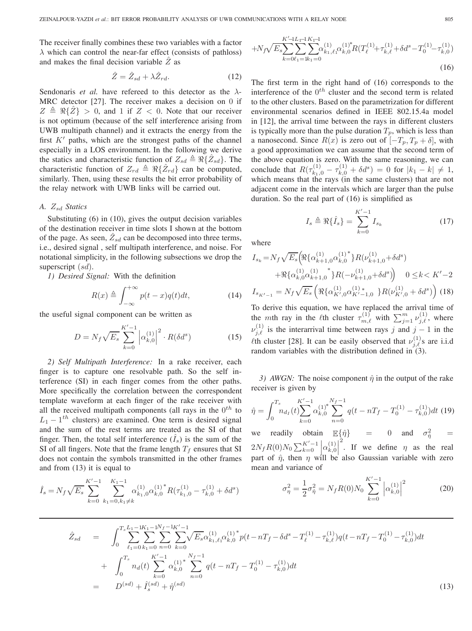The receiver finally combines these two variables with a factor  $\lambda$  which can control the near-far effect (consists of pathloss) and makes the final decision variable  $\overline{Z}$  as

$$
\hat{Z} = \hat{Z}_{sd} + \lambda \hat{Z}_{rd}.
$$
 (12)

Sendonaris *et al.* have refereed to this detector as the  $\lambda$ -MRC detector [27]. The receiver makes a decision on 0 if  $Z \triangleq \Re\{\hat{Z}\} > 0$ , and 1 if  $Z < 0$ . Note that our receiver is not optimum (because of the self interference arising from UWB multipath channel) and it extracts the energy from the first  $K'$  paths, which are the strongest paths of the channel especially in a LOS environment. In the following we derive the statics and characteristic function of  $Z_{sd} \triangleq \Re{\{\hat{Z}_{sd}\}}$ . The characteristic function of  $Z_{rd} \triangleq \Re{\{\hat{Z}_{rd}\}}$  can be computed, similarly. Then, using these results the bit error probability of the relay network with UWB links will be carried out.

# *A. Statics*

Substituting (6) in (10), gives the output decision variables of the destination receiver in time slots I shown at the bottom of the page. As seen,  $\overline{Z}_{sd}$  can be decomposed into three terms, i.e., desired signal , self multipath interference, and noise. For notational simplicity, in the following subsections we drop the superscript  $(sd)$ .

*1) Desired Signal:* With the definition

$$
R(x) \triangleq \int_{-\infty}^{+\infty} p(t-x)q(t)dt,
$$
 (14)

the useful signal component can be written as

$$
D = N_f \sqrt{E_s} \sum_{k=0}^{K'-1} \left| \alpha_{k,0}^{(1)} \right|^2 \cdot R(\delta d^s)
$$
 (15)

*2) Self Multipath Interference:* In a rake receiver, each finger is to capture one resolvable path. So the self interference (SI) in each finger comes from the other paths. More specifically the correlation between the correspondent template waveform at each finger of the rake receiver with all the received multipath components (all rays in the  $0^{th}$  to  $L_1 - 1^{th}$  clusters) are examined. One term is desired signal and the sum of the rest terms are treated as the SI of that finger. Then, the total self interference  $(\bar{I}_s)$  is the sum of the SI of all fingers. Note that the frame length  $T_f$  ensures that SI does not contain the symbols transmitted in the other frames and from (13) it is equal to

$$
\hat{I}_s = N_f \sqrt{E_s} \sum_{k=0}^{K'-1} \sum_{k_1=0, k_1 \neq k}^{K_1-1} \alpha_{k_1,0}^{(1)} \alpha_{k,0}^{(1)}^* R(\tau_{k_1,0}^{(1)} - \tau_{k,0}^{(1)} + \delta d^s)
$$

$$
+N_f\sqrt{E_s}\sum_{k=0}^{K'-1} \sum_{t=1}^{L_1-1} \sum_{k=0}^{K-1} \alpha_{k_1,\ell_1}^{(1)} \alpha_{k,0}^{(1)*} R(T_{\ell}^{(1)} + \tau_{k,\ell}^{(1)} + \delta d^s - T_0^{(1)} - \tau_{k,0}^{(1)})
$$
\n
$$
(16)
$$

The first term in the right hand of (16) corresponds to the interference of the  $0^{th}$  cluster and the second term is related to the other clusters. Based on the parametrization for different environmental scenarios defined in IEEE 802.15.4a model in [12], the arrival time between the rays in different clusters is typically more than the pulse duration  $T_p$ , which is less than a nanosecond. Since  $R(x)$  is zero out of  $[-T_p, T_p + \delta]$ , with a good approximation we can assume that the second term of the above equation is zero. With the same reasoning, we can conclude that  $R(\tau_{k_1,0}^{(1)} - \tau_{k,0}^{(1)} + \delta d^s) = 0$  for  $|k_1 - k| \neq 1$ , which means that the rays (in the same clusters) that are not adjacent come in the intervals which are larger than the pulse duration. So the real part of (16) is simplified as

$$
I_s \triangleq \Re{\{\hat{I}_s\}} = \sum_{k=0}^{K'-1} I_{s_k}
$$
 (17)

where

$$
I_{s_k} = N_f \sqrt{E_s} \Big(\Re \{\alpha_{k+1,0}^{(1)} \alpha_{k,0}^{(1)}\} R(\nu_{k+1,0}^{(1)} + \delta d^s) + \Re \{\alpha_{k,0}^{(1)} \alpha_{k+1,0}^{(1)}\} R(-\nu_{k+1,0}^{(1)} + \delta d^s)\Big) \quad 0 \le k < K'-2
$$
\n
$$
I_{s_{K'-1}} = N_f \sqrt{E_s} \left(\Re \{\alpha_{K',0}^{(1)} \alpha_{K'-1,0}^{(1)}\} R(\nu_{K',0}^{(1)} + \delta d^s)\right) (18)
$$

To derive this equation, we have replaced the arrival time of the mth ray in the  $\ell$ th cluster  $\tau_{m,\ell}^{(1)}$  with  $\sum_{j=1}^m \nu_{j,\ell}^{(1)}$ , where  $\nu_{j,\ell}^{(1)}$  is the interarrival time between rays j and  $j-1$  in the  $\ell$ th cluster [28]. It can be easily observed that  $\nu_{j,\ell}^{(1)}$ s are i.i.d random variables with the distribution defined in  $(3)$ .

*3) AWGN:* The noise component  $\hat{\eta}$  in the output of the rake receiver is given by

$$
\hat{\eta} = \int_0^{T_s} n_{d_I}(t) \sum_{k=0}^{K'-1} \alpha_{k,0}^{(1)^*} \sum_{n=0}^{N_f-1} q(t - nT_f - T_0^{(1)} - \tau_{k,0}^{(1)}) dt
$$
(19)

we readily obtain  $\mathbb{E}\{\hat{\eta}\} = 0$  and  $\sigma_{\hat{\eta}}^2 = 0$  $2N_f R(0) N_0 \sum_{k=0}^{K'-1} \alpha_{k,0}^{(1)}$ <sup>2</sup>. If we define  $\eta$  as the real part of  $\hat{\eta}$ , then  $\eta$  will be also Gaussian variable with zero mean and variance of

$$
\sigma_{\eta}^{2} = \frac{1}{2}\sigma_{\eta}^{2} = N_{f}R(0)N_{0} \sum_{k=0}^{K'-1} \left| \alpha_{k,0}^{(1)} \right|^{2}
$$
 (20)

$$
\hat{Z}_{sd} = \int_0^{T_s} \sum_{\ell_1=0}^{L_1-1K_1-1N_f-1K'-1} \sum_{k=0}^{K'-1} \sum_{k=0}^{K'-1} \sqrt{E_s} \alpha_{k_1,\ell_1}^{(1)} \alpha_{k,0}^{(1)*} p(t - nT_f - \delta d^s - T_{\ell}^{(1)} - \tau_{k,\ell}^{(1)}) q(t - nT_f - T_0^{(1)} - \tau_{k,0}^{(1)}) dt \n+ \int_0^{T_s} n_d(t) \sum_{k=0}^{K'-1} \alpha_{k,0}^{(1)*} \sum_{n=0}^{N_f-1} q(t - nT_f - T_0^{(1)} - \tau_{k,0}^{(1)}) dt \n= D^{(sd)} + \hat{I}_s^{(sd)} + \hat{\eta}^{(sd)}
$$
\n(13)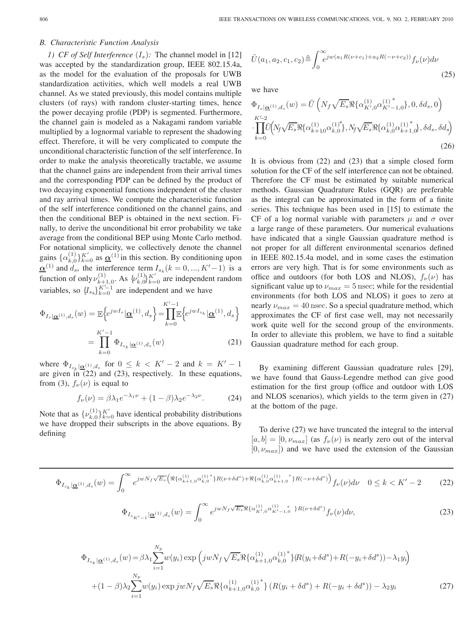### *B. Characteristic Function Analysis*

*1) CF of Self Interference*  $(I_s)$ : The channel model in [12] was accepted by the standardization group, IEEE 802.15.4a, as the model for the evaluation of the proposals for UWB standardization activities, which well models a real UWB channel. As we stated previously, this model contains multiple clusters (of rays) with random cluster-starting times, hence the power decaying profile (PDP) is segmented. Furthermore, the channel gain is modeled as a Nakagami random variable multiplied by a lognormal variable to represent the shadowing effect. Therefore, it will be very complicated to compute the unconditional characteristic function of the self interference. In order to make the analysis theoretically tractable, we assume that the channel gains are independent from their arrival times and the corresponding PDP can be defined by the product of two decaying exponential functions independent of the cluster and ray arrival times. We compute the characteristic function of the self interference conditioned on the channel gains, and then the conditional BEP is obtained in the next section. Finally, to derive the unconditional bit error probability we take average from the conditional BEP using Monte Carlo method. For notational simplicity, we collectively denote the channel gains  $\{\alpha_{k,0}^{(1)}\}_{k=0}^{K'}$  as  $\underline{\alpha}^{(1)}$  in this section. By conditioning upon  $\underline{\alpha}^{(1)}$  and  $d_s$ , the interference term  $I_{s_k}(k=0,...,K'-1)$  is a function of only  $\nu_{k+1,0}^{(1)}$ . As  $\{\nu_{k,0}^{(1)}\}_{k=0}^{K'}$  are independent random variables, so  $\{I_{s_k}\}_{k=0}^{K'-1}$  are independent and we have

$$
\Phi_{I_s|\underline{\alpha}^{(1)},d_s}(w) = \mathbb{E}\Big\{e^{jwI_s}|\underline{\alpha}^{(1)},d_s\Big\} = \prod_{k=0}^{K'-1} \mathbb{E}\Big\{e^{jwI_{s_k}}|\underline{\alpha}^{(1)},d_s\Big\}
$$

$$
= \prod_{k=0}^{K'-1} \Phi_{I_{s_k}|\underline{\alpha}^{(1)},d_s}(w) \tag{21}
$$

where  $\Phi_{I_{s_k}|\mathbf{\underline{\alpha}}^{(1)}, d_s}$  for  $0 \le k < K' - 2$  and  $k = K' - 1$  are given in (22) and (23), respectively. In these equations, from (3),  $f_{\nu}(\nu)$  is equal to

$$
f_{\nu}(\nu) = \beta \lambda_1 e^{-\lambda_1 \nu} + (1 - \beta) \lambda_2 e^{-\lambda_2 \nu}.
$$
 (24)

Note that as  $\{\nu_{k,0}^{(1)}\}_{k=0}^{K'}$  have identical probability distributions we have dropped their subscripts in the above equations. By defining

$$
\tilde{U}(a_1, a_2, c_1, c_2) \triangleq \int_0^\infty e^{jw(a_1 R(\nu + c_1) + a_2 R(-\nu + c_2))} f_\nu(\nu) d\nu \tag{25}
$$

we have

$$
\Phi_{I_s|\underline{\alpha}^{(1)},d_s}(w) = \tilde{U}\left(N_f\sqrt{E_s}\Re{\{\alpha^{(1)}_{K',0}\alpha^{(1)*}_{K'-1,0}\}},0,\delta d_s,0\right)
$$
\n
$$
\cdot\prod_{k=0}^{K'-2} \tilde{U}\left(N_f\sqrt{E_s}\Re{\{\alpha^{(1)}_{k+1,0}\alpha^{(1)*}_{k,0}\}},N_f\sqrt{E_s}\Re{\{\alpha^{(1)}_{k,0}\alpha^{(1)*}_{k+1,0}\}},\delta d_s,\delta d_s\right)
$$
\n(26)

It is obvious from (22) and (23) that a simple closed form solution for the CF of the self interference can not be obtained. Therefore the CF must be estimated by suitable numerical methods. Gaussian Quadrature Rules (GQR) are preferable as the integral can be approximated in the form of a finite series. This technique has been used in [15] to estimate the CF of a log normal variable with parameters  $\mu$  and  $\sigma$  over a large range of these parameters. Our numerical evaluations have indicated that a single Gaussian quadrature method is not proper for all different environmental scenarios defined in IEEE 802.15.4a model, and in some cases the estimation errors are very high. That is for some environments such as office and outdoors (for both LOS and NLOS),  $f_{\nu}(\nu)$  has significant value up to  $\nu_{max} = 5$  nsec; while for the residential environments (for both LOS and NLOS) it goes to zero at nearly  $\nu_{max} = 40$  nsec. So a special quadrature method, which approximates the CF of first case well, may not necessarily work quite well for the second group of the environments. In order to alleviate this problem, we have to find a suitable Gaussian quadrature method for each group.

By examining different Gaussian quadrature rules [29], we have found that Gauss-Legendre method can give good estimation for the first group (office and outdoor with LOS and NLOS scenarios), which yields to the term given in (27) at the bottom of the page.

To derive (27) we have truncated the integral to the interval  $[a, b] = [0, \nu_{max}]$  (as  $f_{\nu}(\nu)$  is nearly zero out of the interval  $[0, \nu_{max}]$  and we have used the extension of the Gaussian

$$
\Phi_{I_{s_k}|\underline{\alpha}^{(1)},d_s}(w) = \int_0^\infty e^{jwN_f\sqrt{E_s}\left(\Re\{\alpha_{k+1,0}^{(1)}\alpha_{k,0}^{(1)^*}\}R(\nu+\delta d^s) + \Re\{\alpha_{k,0}^{(1)}\alpha_{k+1,0}^{(1)^*}\}R(-\nu+\delta d^s)\right)} f_\nu(\nu) d\nu \quad 0 \le k < K'-2 \tag{22}
$$

$$
\Phi_{I_{s_{K'-1}}|\underline{\alpha}^{(1)},d_s}(w) = \int_0^\infty e^{jwN_f\sqrt{E_s}\Re{\{\alpha^{(1)}_{K',0}\alpha^{(1)}_{K'-1,0}\}}R(\nu+\delta d^s)} f_\nu(\nu)d\nu,
$$
\n(23)

$$
\Phi_{I_{s_k}|\underline{\alpha}^{(1)},d_s}(w) = \beta \lambda_1 \sum_{i=1}^{N_p} w(y_i) \exp\left(jwN_f \sqrt{E_s} \Re{\{\alpha_{k+1,0}^{(1)}}^* \} (R(y_i + \delta d^s) + R(-y_i + \delta d^s)) - \lambda_1 y_i\right) + (1 - \beta) \lambda_2 \sum_{i=1}^{N_p} w(y_i) \exp jwN_f \sqrt{E_s} \Re{\{\alpha_{k+1,0}^{(1)}}^* \} (R(y_i + \delta d^s) + R(-y_i + \delta d^s)) - \lambda_2 y_i
$$
\n(27)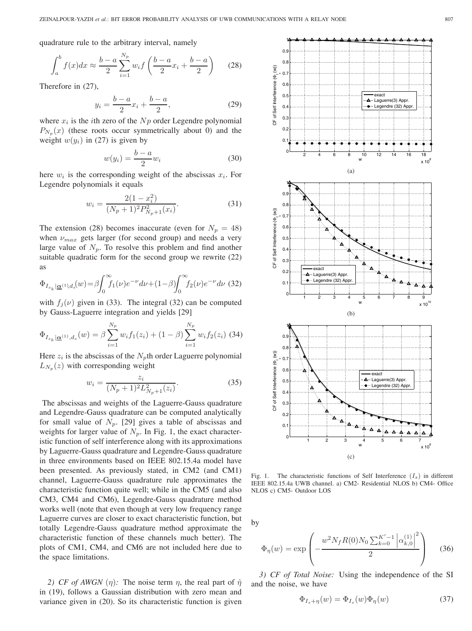quadrature rule to the arbitrary interval, namely

$$
\int_{a}^{b} f(x)dx \approx \frac{b-a}{2} \sum_{i=1}^{N_p} w_i f\left(\frac{b-a}{2}x_i + \frac{b-a}{2}\right) \tag{28}
$$

Therefore in (27),

$$
y_i = \frac{b-a}{2}x_i + \frac{b-a}{2},
$$
 (29)

where  $x_i$  is the *i*th zero of the  $Np$  order Legendre polynomial  $P_{N_p}(x)$  (these roots occur symmetrically about 0) and the weight  $w(y_i)$  in (27) is given by

$$
w(y_i) = \frac{b-a}{2}w_i \tag{30}
$$

here  $w_i$  is the corresponding weight of the abscissas  $x_i$ . For Legendre polynomials it equals

$$
w_i = \frac{2(1 - x_i^2)}{(N_p + 1)^2 P_{N_p + 1}^2(x_i)}.
$$
\n(31)

The extension (28) becomes inaccurate (even for  $N_p = 48$ ) when  $\nu_{max}$  gets larger (for second group) and needs a very large value of  $N_p$ . To resolve this problem and find another suitable quadratic form for the second group we rewrite (22) as

$$
\Phi_{I_{s_k}|\mathbf{\underline{\alpha}}^{(1)},d_s}(w) = \beta \int_0^\infty f_1(\nu) e^{-\nu} d\nu + (1-\beta) \int_0^\infty f_2(\nu) e^{-\nu} d\nu \tag{32}
$$

with  $f_j(\nu)$  given in (33). The integral (32) can be computed by Gauss-Laguerre integration and yields [29]

$$
\Phi_{I_{s_k}|\mathbf{\underline{\alpha}}^{(1)},d_s}(w) = \beta \sum_{i=1}^{N_p} w_i f_1(z_i) + (1-\beta) \sum_{i=1}^{N_p} w_i f_2(z_i)
$$
 (34)

Here  $z_i$  is the abscissas of the  $N_p$ th order Laguerre polynomial  $L_{N_n}(z)$  with corresponding weight

$$
w_i = \frac{z_i}{(N_p + 1)^2 L_{N_p + 1}^2(z_i)}.
$$
\n(35)

The abscissas and weights of the Laguerre-Gauss quadrature and Legendre-Gauss quadrature can be computed analytically for small value of  $N_p$ . [29] gives a table of abscissas and weights for larger value of  $N_p$ . In Fig. 1, the exact characteristic function of self interference along with its approximations by Laguerre-Gauss quadrature and Legendre-Gauss quadrature in three environments based on IEEE 802.15.4a model have been presented. As previously stated, in CM2 (and CM1) channel, Laguerre-Gauss quadrature rule approximates the characteristic function quite well; while in the CM5 (and also CM3, CM4 and CM6), Legendre-Gauss quadrature method works well (note that even though at very low frequency range Laguerre curves are closer to exact characteristic function, but totally Legendre-Gauss quadrature method approximate the characteristic function of these channels much better). The plots of CM1, CM4, and CM6 are not included here due to the space limitations.

*2) CF of AWGN*  $(\eta)$ : The noise term  $\eta$ , the real part of  $\hat{\eta}$ in (19), follows a Gaussian distribution with zero mean and variance given in (20). So its characteristic function is given



Fig. 1. The characteristic functions of Self Interference  $(I_s)$  in different IEEE 802.15.4a UWB channel. a) CM2- Residential NLOS b) CM4- Office NLOS c) CM5- Outdoor LOS

by

$$
\Phi_{\eta}(w) = \exp\left(-\frac{w^2 N_f R(0) N_0 \sum_{k=0}^{K'-1} |\alpha_{k,0}^{(1)}|^2}{2}\right) \tag{36}
$$

*3) CF of Total Noise:* Using the independence of the SI and the noise, we have

$$
\Phi_{I_s + \eta}(w) = \Phi_{I_s}(w)\Phi_{\eta}(w) \tag{37}
$$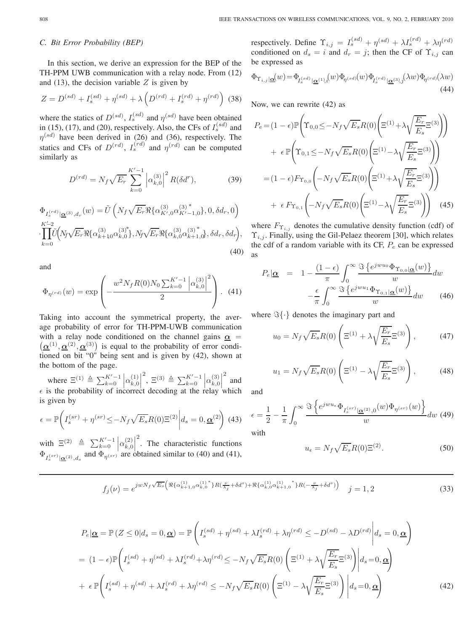## *C. Bit Error Probability (BEP)*

In this section, we derive an expression for the BEP of the TH-PPM UWB communication with a relay node. From (12) and (13), the decision variable  $Z$  is given by

$$
Z = D^{(sd)} + I_s^{(sd)} + \eta^{(sd)} + \lambda \left( D^{(rd)} + I_s^{(rd)} + \eta^{(rd)} \right) (38)
$$

where the statics of  $D^{(sd)}$ ,  $I_s^{(sd)}$  and  $\eta^{(sd)}$  have been obtained in (15), (17), and (20), respectively. Also, the CFs of  $I_s^{(sd)}$  and  $\eta^{(sd)}$  have been derived in (26) and (36), respectively. The statics and CFs of  $D^{(rd)}$ ,  $I_s^{(rd)}$  and  $\eta^{(rd)}$  can be computed similarly as

$$
D^{(rd)} = N_f \sqrt{E_r} \sum_{k=0}^{K'-1} \left| \alpha_{k,0}^{(3)} \right|^2 R(\delta d^r), \tag{39}
$$

$$
\Phi_{I_{s}^{(rd)}|\underline{\alpha}^{(3)},d_{r}}(w) = \tilde{U}\left(N_{f}\sqrt{E_{r}}\Re{\{\alpha_{K',0}^{(3)}}^* \alpha_{K'-1,0}^{(3)}}^*, 0, \delta d_{r}, 0\right) \n\prod_{k=0}^{K'-2} \tilde{U}\left(N_{f}\sqrt{E_{r}}\Re{\{\alpha_{k+1,0}^{(3)}}^* \beta_{k,0}^{(3)}}^*N_{f}\sqrt{E_{r}}\Re{\{\alpha_{k,0}^{(3)}}^* \alpha_{k+1,0}^{(3)}}^*, \delta d_{r}, \delta d_{r}\right),
$$
\n(40)

and

$$
\Phi_{\eta^{(rd)}}(w) = \exp\left(-\frac{w^2 N_f R(0) N_0 \sum_{k=0}^{K'-1} \left| \alpha_{k,0}^{(3)} \right|^2}{2}\right). \tag{41}
$$

Taking into account the symmetrical property, the average probability of error for TH-PPM-UWB communication  $(\underline{\alpha}^{(1)}, \underline{\alpha}^{(2)}, \underline{\alpha}^{(3)})$  is equal to the probability of error condiwith a relay node conditioned on the channel gains  $\alpha$  = tioned on bit "0" being sent and is given by (42), shown at the bottom of the page.

where  $\Xi^{(1)} \triangleq \sum_{k=0}^{K'-1}$  $\begin{bmatrix} K'-1 \\ k=0 \end{bmatrix} \alpha_{k,0}^{(1)}$ <sup>2</sup>,  $\Xi^{(3)} \triangleq \sum_{k=0}^{K'-1}$  $\begin{bmatrix} K'-1 \\ k=0 \end{bmatrix} \alpha_{k,0}^{(3)} \begin{bmatrix} 1 \\ k \end{bmatrix}$ 2 and  $\epsilon$  is the probability of incorrect decoding at the relay which is given by

$$
\epsilon = \mathbb{P}\bigg(I_s^{(sr)} + \eta^{(sr)} \le -N_f\sqrt{E_s}R(0)\Xi^{(2)}\bigg|d_s = 0, \underline{\alpha}^{(2)}\bigg)
$$
(43)

with  $\Xi^{(2)} \triangleq \sum_{k=0}^{K'-1} \left| \alpha_{k,0}^{(2)} \right|$ <sup>2</sup>. The characteristic functions  $\Phi_{I_s^{(sr)}|\mathbf{Q}^{(2)}, d_s}$  and  $\Phi_{\eta^{(sr)}}$  are obtained similar to (40) and (41),

respectively. Define  $\Upsilon_{i,j} = I_s^{(sd)} + \eta^{(sd)} + \lambda I_s^{(rd)} + \lambda \eta^{(rd)}$ conditioned on  $d_s = i$  and  $d_r = j$ ; then the CF of  $\Upsilon_{i,j}$  can be expressed as

$$
\Phi_{\Upsilon_{i,j}|\mathbf{\underline{\alpha}}}(w) = \Phi_{I_s^{(sd)}|\mathbf{\underline{\alpha}}^{(1)},i}(w)\Phi_{\eta^{(sd)}}(w)\Phi_{I_s^{(rd)}|\mathbf{\underline{\alpha}}^{(3)},j}(\lambda w)\Phi_{\eta^{(rd)}}(\lambda w)
$$
\n(44)

Now, we can rewrite (42) as

$$
P_e = (1 - \epsilon) \mathbb{P} \left( \Upsilon_{0,0} \le -N_f \sqrt{E_s} R(0) \left( \Xi^{(1)} + \lambda \sqrt{\frac{E_r}{E_s}} \Xi^{(3)} \right) \right)
$$
  
+ 
$$
\epsilon \mathbb{P} \left( \Upsilon_{0,1} \le -N_f \sqrt{E_s} R(0) \left( \Xi^{(1)} - \lambda \sqrt{\frac{E_r}{E_s}} \Xi^{(3)} \right) \right)
$$
  
= 
$$
(1 - \epsilon) F_{\Upsilon_{0,0}} \left( -N_f \sqrt{E_s} R(0) \left( \Xi^{(1)} + \lambda \sqrt{\frac{E_r}{E_s}} \Xi^{(3)} \right) \right)
$$
  
+ 
$$
\epsilon F_{\Upsilon_{0,1}} \left( -N_f \sqrt{E_s} R(0) \left( \Xi^{(1)} - \lambda \sqrt{\frac{E_r}{E_s}} \Xi^{(3)} \right) \right)
$$
(45)

where  $F_{\Upsilon_{i,j}}$  denotes the cumulative density function (cdf) of  $\Upsilon_{i,j}$ . Finally, using the Gil-Pelaez theorem [30], which relates the cdf of a random variable with its CF,  $P_e$  can be expressed as

$$
P_e | \underline{\alpha} = 1 - \frac{(1 - \epsilon)}{\pi} \int_0^\infty \frac{\Im \left\{ e^{j w u_0} \Phi_{\Upsilon_{0,0} | \underline{\alpha}}(w) \right\}}{w} dw
$$

$$
- \frac{\epsilon}{\pi} \int_0^\infty \frac{\Im \left\{ e^{j w u_1} \Phi_{\Upsilon_{0,1} | \underline{\alpha}}(w) \right\}}{w} dw \qquad (46)
$$

where  $\Im\{\cdot\}$  denotes the imaginary part and

$$
u_0 = N_f \sqrt{E_s} R(0) \left( \Xi^{(1)} + \lambda \sqrt{\frac{E_r}{E_s}} \Xi^{(3)} \right), \tag{47}
$$

$$
u_1 = N_f \sqrt{E_s} R(0) \left( \Xi^{(1)} - \lambda \sqrt{\frac{E_r}{E_s}} \Xi^{(3)} \right), \tag{48}
$$

and

$$
\epsilon = \frac{1}{2} - \frac{1}{\pi} \int_0^\infty \frac{\Im \left\{ e^{jwu_\epsilon} \Phi_{I_s^{(sr)}|\mathbf{\underline{\alpha}}^{(2)},0}(w) \Phi_{\eta^{(sr)}}(w) \right\}}{w} dw \tag{49}
$$

with

$$
u_{\epsilon} = N_f \sqrt{E_s} R(0) \Xi^{(2)}.
$$
 (50)

$$
f_j(\nu) = e^{jwN_f\sqrt{E_s} \left(\Re\{\alpha_{k+1,0}^{(1)}\alpha_{k,0}^{(1)}^*\}R(\frac{\nu}{\lambda_j} + \delta d^s) + \Re\{\alpha_{k,0}^{(1)}\alpha_{k+1,0}^{(1)}^*\}R(-\frac{\nu}{\lambda_j} + \delta d^s)\right)} \quad j = 1, 2
$$
\n(33)

$$
P_e|\mathbf{\underline{\alpha}} = \mathbb{P}\left(Z \le 0 | d_s = 0, \mathbf{\underline{\alpha}}\right) = \mathbb{P}\left(I_s^{(sd)} + \eta^{(sd)} + \lambda I_s^{(rd)} + \lambda \eta^{(rd)} \le -D^{(sd)} - \lambda D^{(rd)}\middle| d_s = 0, \mathbf{\underline{\alpha}}\right)
$$
  
= 
$$
(1 - \epsilon)\mathbb{P}\left(I_s^{(sd)} + \eta^{(sd)} + \lambda I_s^{(rd)} + \lambda \eta^{(rd)} \le -N_f\sqrt{E_s}R(0)\left(\Xi^{(1)} + \lambda \sqrt{\frac{E_r}{E_s}}\Xi^{(3)}\right)\middle| d_s = 0, \mathbf{\underline{\alpha}}\right)
$$
  
+ 
$$
\epsilon \mathbb{P}\left(I_s^{(sd)} + \eta^{(sd)} + \lambda I_s^{(rd)} + \lambda \eta^{(rd)} \le -N_f\sqrt{E_s}R(0)\left(\Xi^{(1)} - \lambda \sqrt{\frac{E_r}{E_s}}\Xi^{(3)}\right)\middle| d_s = 0, \mathbf{\underline{\alpha}}\right)
$$
(42)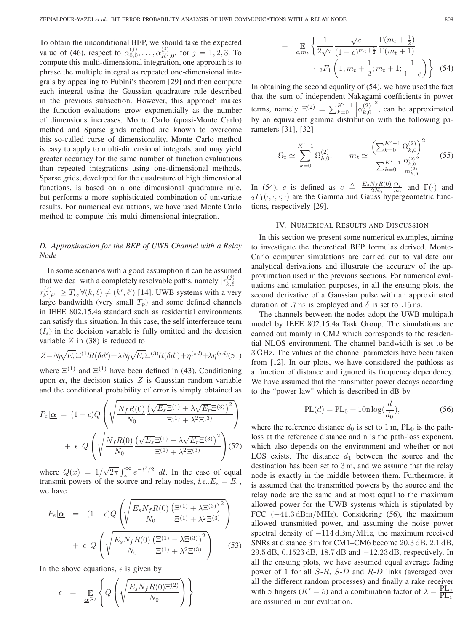To obtain the unconditional BEP, we should take the expected value of (46), respect to  $\alpha_{0,0}^{(j)}, \ldots, \alpha_{K',0}^{(j)}$ , for  $j = 1, 2, 3$ . To compute this multi-dimensional integration, one approach is to phrase the multiple integral as repeated one-dimensional integrals by appealing to Fubini's theorem [29] and then compute each integral using the Gaussian quadrature rule described in the previous subsection. However, this approach makes the function evaluations grow exponentially as the number of dimensions increases. Monte Carlo (quasi-Monte Carlo) method and Sparse grids method are known to overcome this so-called curse of dimensionality. Monte Carlo method is easy to apply to multi-dimensional integrals, and may yield greater accuracy for the same number of function evaluations than repeated integrations using one-dimensional methods. Sparse grids, developed for the quadrature of high dimensional functions, is based on a one dimensional quadrature rule, but performs a more sophisticated combination of univariate results. For numerical evaluations, we have used Monte Carlo method to compute this multi-dimensional integration.

# *D. Approximation for the BEP of UWB Channel with a Relay Node*

In some scenarios with a good assumption it can be assumed that we deal with a completely resolvable paths, namely  $|\tau_{k,\ell}^{(j)} \tau_{k',\ell'}^{(j)} | \geq T_c, \forall (k,\ell) \neq (k',\ell')$  [14]. UWB systems with a very large bandwidth (very small  $T_p$ ) and some defined channels in IEEE 802.15.4a standard such as residential environments can satisfy this situation. In this case, the self interference term  $(I<sub>s</sub>)$  in the decision variable is fully omitted and the decision variable  $Z$  in (38) is reduced to

$$
Z = N_f \sqrt{E_s} \Xi^{(1)} R (\delta d^s) + \lambda N_f \sqrt{E_r} \Xi^{(3)} R (\delta d^r) + \eta^{(sd)} + \lambda \eta^{(rd)} (51)
$$

where  $\Xi^{(1)}$  and  $\Xi^{(1)}$  have been defined in (43). Conditioning upon  $\alpha$ , the decision statics Z is Gaussian random variable and the conditional probability of error is simply obtained as

$$
P_e|\mathbf{\underline{\alpha}} = (1 - \epsilon)Q \left( \sqrt{\frac{N_f R(0) \left( \sqrt{E_s} \Xi^{(1)} + \lambda \sqrt{E_r} \Xi^{(3)} \right)^2}{\Xi^{(1)} + \lambda^2 \Xi^{(3)}}} \right) + \epsilon \ Q \left( \sqrt{\frac{N_f R(0) \left( \sqrt{E_s} \Xi^{(1)} - \lambda \sqrt{E_r} \Xi^{(3)} \right)^2}{\Xi^{(1)} + \lambda^2 \Xi^{(3)}}} \right) (52)
$$

where  $Q(x) = 1/\sqrt{2\pi} \int_x^{\infty} e^{-t^2/2} dt$ . In the case of equal transmit powers of the source and relay nodes, *i.e.*,  $E_s = E_r$ , we have

$$
P_e|\mathbf{\underline{\alpha}} = (1 - \epsilon)Q\left(\sqrt{\frac{E_s N_f R(0) \left(\Xi^{(1)} + \lambda \Xi^{(3)}\right)^2}{N_0}}\right) + \epsilon Q\left(\sqrt{\frac{E_s N_f R(0) \left(\Xi^{(1)} - \lambda \Xi^{(3)}\right)^2}{N_0}}\right) \qquad (53)
$$

In the above equations,  $\epsilon$  is given by

$$
\epsilon = \mathbb{E}_{\underline{\alpha}^{(2)}} \left\{ Q \left( \sqrt{\frac{E_s N_f R(0) \Xi^{(2)}}{N_0}} \right) \right\}
$$

$$
= \mathbb{E}_{c,m_t} \left\{ \frac{1}{2\sqrt{\pi}} \frac{\sqrt{c}}{(1+c)^{m_t + \frac{1}{2}}} \frac{\Gamma(m_t + \frac{1}{2})}{\Gamma(m_t + 1)} \cdot {}_{2}F_1 \left(1, m_t + \frac{1}{2}; m_t + 1; \frac{1}{1+c}\right) \right\}
$$
(54)

In obtaining the second equality of (54), we have used the fact that the sum of independent Nakagami coefficients in power terms, namely  $\Xi^{(2)} = \sum_{k=0}^{K'-1}$  $\begin{bmatrix} K'-1 \\ k=0 \end{bmatrix} \alpha_{k,0}^{(2)}$ 2 , can be approximated by an equivalent gamma distribution with the following parameters [31], [32]

$$
\Omega_t \simeq \sum_{k=0}^{K'-1} \Omega_{k,0}^{(2)}, \qquad m_t \simeq \frac{\left(\sum_{k=0}^{K'-1} \Omega_{k,0}^{(2)}\right)^2}{\sum_{k=0}^{K'-1} \frac{\Omega_{k,0}^{(2)^2}}{m_{k,0}^{(2)}}}
$$
(55)

In (54), c is defined as  $c \triangleq \frac{E_s N_f R(0)}{2N_0} \frac{\Omega_t}{m_t}$  and  $\Gamma(\cdot)$  and  ${}_2F_1(\cdot, \cdot; \cdot; \cdot)$  are the Gamma and Gauss hypergeometric functions, respectively [29].

#### IV. NUMERICAL RESULTS AND DISCUSSION

In this section we present some numerical examples, aiming to investigate the theoretical BEP formulas derived. Monte-Carlo computer simulations are carried out to validate our analytical derivations and illustrate the accuracy of the approximation used in the previous sections. For numerical evaluations and simulation purposes, in all the ensuing plots, the second derivative of a Gaussian pulse with an approximated duration of .7 ns is employed and  $\delta$  is set to .15 ns.

The channels between the nodes adopt the UWB multipath model by IEEE 802.15.4a Task Group. The simulations are carried out mainly in CM2 which corresponds to the residential NLOS environment. The channel bandwidth is set to be 3 GHz. The values of the channel parameters have been taken from [12]. In our plots, we have considered the pathloss as a function of distance and ignored its frequency dependency. We have assumed that the transmitter power decays according to the "power law" which is described in dB by

$$
PL(d) = PL_0 + 10n \log(\frac{d}{d_0}),
$$
\n(56)

where the reference distance  $d_0$  is set to 1 m, PL<sub>0</sub> is the pathloss at the reference distance and n is the path-loss exponent, which also depends on the environment and whether or not LOS exists. The distance  $d_1$  between the source and the destination has been set to 3 m, and we assume that the relay node is exactly in the middle between them. Furthermore, it is assumed that the transmitted powers by the source and the relay node are the same and at most equal to the maximum allowed power for the UWB systems which is stipulated by FCC (−41.3 dBm/MHz). Considering (56), the maximum allowed transmitted power, and assuming the noise power spectral density of  $-114 \text{ dBm}/\text{MHz}$ , the maximum received SNRs at distance 3 m for CM1–CM6 become 20.3 dB, 2.1 dB, 29.5 dB, 0.1523 dB, 18.7 dB and −12.23 dB, respectively. In all the ensuing plots, we have assumed equal average fading power of 1 for all  $S-R$ ,  $S-D$  and  $R-D$  links (averaged over all the different random processes) and finally a rake receiver with 5 fingers ( $K' = 5$ ) and a combination factor of  $\lambda = \frac{PL_3}{PL_1}$ are assumed in our evaluation.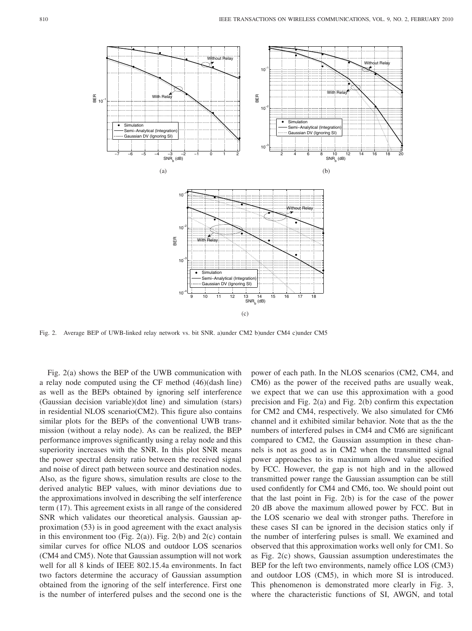

Fig. 2. Average BEP of UWB-linked relay network vs. bit SNR. a)under CM2 b)under CM4 c)under CM5

Fig. 2(a) shows the BEP of the UWB communication with a relay node computed using the CF method (46)(dash line) as well as the BEPs obtained by ignoring self interference (Gaussian decision variable)(dot line) and simulation (stars) in residential NLOS scenario(CM2). This figure also contains similar plots for the BEPs of the conventional UWB transmission (without a relay node). As can be realized, the BEP performance improves significantly using a relay node and this superiority increases with the SNR. In this plot SNR means the power spectral density ratio between the received signal and noise of direct path between source and destination nodes. Also, as the figure shows, simulation results are close to the derived analytic BEP values, with minor deviations due to the approximations involved in describing the self interference term (17). This agreement exists in all range of the considered SNR which validates our theoretical analysis. Gaussian approximation (53) is in good agreement with the exact analysis in this environment too (Fig. 2(a)). Fig. 2(b) and 2(c) contain similar curves for office NLOS and outdoor LOS scenarios (CM4 and CM5). Note that Gaussian assumption will not work well for all 8 kinds of IEEE 802.15.4a environments. In fact two factors determine the accuracy of Gaussian assumption obtained from the ignoring of the self interference. First one is the number of interfered pulses and the second one is the

power of each path. In the NLOS scenarios (CM2, CM4, and CM6) as the power of the received paths are usually weak, we expect that we can use this approximation with a good precision and Fig. 2(a) and Fig. 2(b) confirm this expectation for CM2 and CM4, respectively. We also simulated for CM6 channel and it exhibited similar behavior. Note that as the the numbers of interfered pulses in CM4 and CM6 are significant compared to CM2, the Gaussian assumption in these channels is not as good as in CM2 when the transmitted signal power approaches to its maximum allowed value specified by FCC. However, the gap is not high and in the allowed transmitted power range the Gaussian assumption can be still used confidently for CM4 and CM6, too. We should point out that the last point in Fig. 2(b) is for the case of the power 20 dB above the maximum allowed power by FCC. But in the LOS scenario we deal with stronger paths. Therefore in these cases SI can be ignored in the decision statics only if the number of interfering pulses is small. We examined and observed that this approximation works well only for CM1. So as Fig. 2(c) shows, Gaussian assumption underestimates the BEP for the left two environments, namely office LOS (CM3) and outdoor LOS (CM5), in which more SI is introduced. This phenomenon is demonstrated more clearly in Fig. 3, where the characteristic functions of SI, AWGN, and total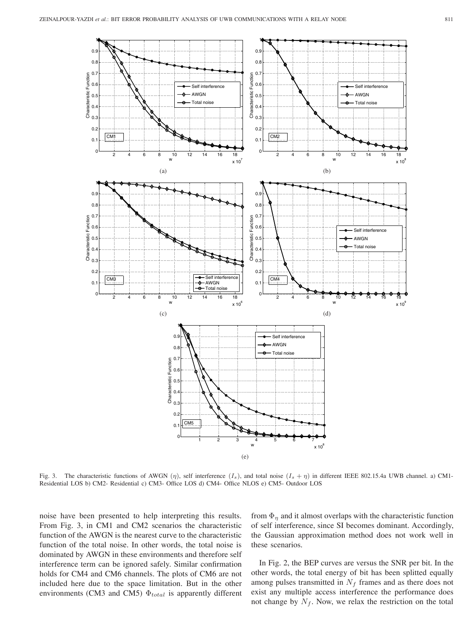

Fig. 3. The characteristic functions of AWGN  $(\eta)$ , self interference  $(I_s)$ , and total noise  $(I_s + \eta)$  in different IEEE 802.15.4a UWB channel. a) CM1-Residential LOS b) CM2- Residential c) CM3- Office LOS d) CM4- Office NLOS e) CM5- Outdoor LOS

noise have been presented to help interpreting this results. From Fig. 3, in CM1 and CM2 scenarios the characteristic function of the AWGN is the nearest curve to the characteristic function of the total noise. In other words, the total noise is dominated by AWGN in these environments and therefore self interference term can be ignored safely. Similar confirmation holds for CM4 and CM6 channels. The plots of CM6 are not included here due to the space limitation. But in the other environments (CM3 and CM5)  $\Phi_{total}$  is apparently different

from  $\Phi_{\eta}$  and it almost overlaps with the characteristic function of self interference, since SI becomes dominant. Accordingly, the Gaussian approximation method does not work well in these scenarios.

In Fig. 2, the BEP curves are versus the SNR per bit. In the other words, the total energy of bit has been splitted equally among pulses transmitted in  $N_f$  frames and as there does not exist any multiple access interference the performance does not change by  $N_f$ . Now, we relax the restriction on the total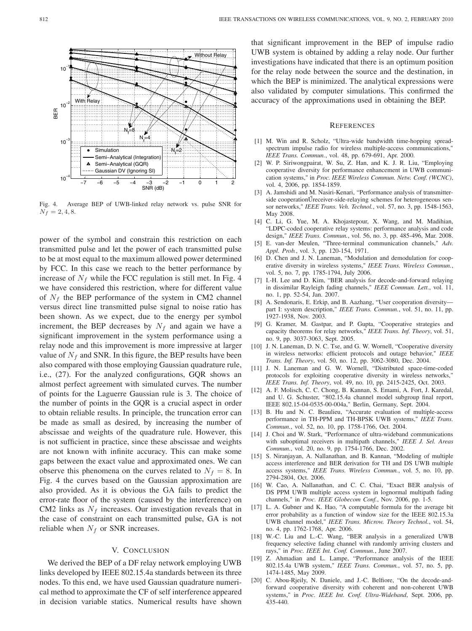

Fig. 4. Average BEP of UWB-linked relay network vs. pulse SNR for  $N_f = 2, 4, 8.$ 

power of the symbol and constrain this restriction on each transmitted pulse and let the power of each transmitted pulse to be at most equal to the maximum allowed power determined by FCC. In this case we reach to the better performance by increase of  $N_f$  while the FCC regulation is still met. In Fig. 4 we have considered this restriction, where for different value of  $N_f$  the BEP performance of the system in CM2 channel versus direct line transmitted pulse signal to noise ratio has been shown. As we expect, due to the energy per symbol increment, the BEP decreases by  $N_f$  and again we have a significant improvement in the system performance using a relay node and this improvement is more impressive at larger value of  $N_f$  and SNR. In this figure, the BEP results have been also compared with those employing Gaussian quadrature rule, i.e., (27). For the analyzed configurations, GQR shows an almost perfect agreement with simulated curves. The number of points for the Laguerre Gaussian rule is 3. The choice of the number of points in the GQR is a crucial aspect in order to obtain reliable results. In principle, the truncation error can be made as small as desired, by increasing the number of abscissae and weights of the quadrature rule. However, this is not sufficient in practice, since these abscissae and weights are not known with infinite accuracy. This can make some gaps between the exact value and approximated ones. We can observe this phenomena on the curves related to  $N_f = 8$ . In Fig. 4 the curves based on the Gaussian approximation are also provided. As it is obvious the GA fails to predict the error-rate floor of the system (caused by the interference) on CM2 links as  $N_f$  increases. Our investigation reveals that in the case of constraint on each transmitted pulse, GA is not reliable when  $N_f$  or SNR increases.

#### V. CONCLUSION

We derived the BEP of a DF relay network employing UWB links developed by IEEE 802.15.4a standards between its three nodes. To this end, we have used Gaussian quadrature numerical method to approximate the CF of self interference appeared in decision variable statics. Numerical results have shown that significant improvement in the BEP of impulse radio UWB system is obtained by adding a relay node. Our further investigations have indicated that there is an optimum position for the relay node between the source and the destination, in which the BEP is minimized. The analytical expressions were also validated by computer simulations. This confirmed the accuracy of the approximations used in obtaining the BEP.

#### **REFERENCES**

- [1] M. Win and R. Scholz, "Ultra-wide bandwidth time-hopping spreadspectrum impulse radio for wireless multiple-access communications," *IEEE Trans. Commun.*, vol. 48, pp. 679-691, Apr. 2000.
- [2] W. P. Siriwongpairat, W. Su, Z. Han, and K. J. R. Liu, "Employing cooperative diversity for performance enhancement in UWB communication systems," in *Proc. IEEE Wireless Commun. Netw. Conf. (WCNC)*, vol. 4, 2006, pp. 1854-1859.
- [3] A. Jamshidi and M. Nasiri-Kenari, "Performance analysis of transmitterside cooperation Ureceiver-side-relaying schemes for heterogeneous sensor networks," *IEEE Trans. Veh. Technol.*, vol. 57, no. 3, pp. 1548-1563, May 2008.
- [4] C. Li, G. Yue, M. A. Khojastepour, X. Wang, and M. Madihian, "LDPC-coded cooperative relay systems: performance analysis and code design," *IEEE Trans. Commun.*, vol. 56, no. 3, pp. 485-496, Mar. 2008.
- [5] E. van-der Meulen, "Three-terminal communication channels," *Adv. Appl. Prob.*, vol. 3, pp. 120-154, 1971.
- [6] D. Chen and J. N. Laneman, "Modulation and demodulation for cooperative diversity in wireless systems," *IEEE Trans. Wireless Commun.*, vol. 5, no. 7, pp. 1785-1794, July 2006.
- [7] I.-H. Lee and D. Kim, "BER analysis for decode-and-forward relaying in dissimilar Rayleigh fading channels," *IEEE Commun. Lett.*, vol. 11, no. 1, pp. 52-54, Jan. 2007.
- [8] A. Sendonaris, E. Erkip, and B. Aazhang, "User cooperation diversity part I: system description," *IEEE Trans. Commun.*, vol. 51, no. 11, pp. 1927-1938, Nov. 2003.
- [9] G. Kramer, M. Gastpar, and P. Gupta, "Cooperative strategies and capacity theorems for relay networks," *IEEE Trans. Inf. Theory*, vol. 51, no. 9, pp. 3037-3063, Sept. 2005.
- [10] J. N. Laneman, D. N. C. Tse, and G. W. Wornell, "Cooperative diversity in wireless networks: efficient protocols and outage behavior," *IEEE Trans. Inf. Theory*, vol. 50, no. 12, pp. 3062-3080, Dec. 2004.
- [11] J. N. Laneman and G. W. Wornell, "Distributed space-time-coded protocols for exploiting cooperative diversity in wireless networks," *IEEE Trans. Inf. Theory*, vol. 49, no. 10, pp. 2415-2425, Oct. 2003.
- [12] A. F. Molisch, C. C. Chong, B. Kannan, S. Emami, A. Fort, J. Karedal, and U. G. Schuster, "802.15.4a channel model subgroup final report, IEEE 802.15-04-0535-00-004a," Berlin, Germany, Sept. 2004.
- [13] B. Hu and N. C. Beaulieu, "Accurate evaluation of multiple-access performance in TH-PPM and TH-BPSK UWB systems," *IEEE Trans. Commun.*, vol. 52, no. 10, pp. 1758-1766, Oct. 2004.
- [14] J. Choi and W. Stark, "Performance of ultra-wideband communications with suboptimal receivers in multipath channels," *IEEE J. Sel. Areas Commun.*, vol. 20, no. 9, pp. 1754-1766, Dec. 2002.
- [15] S. Niranjayan, A. Nallanathan, and B. Kannan, "Modeling of multiple access interference and BER derivation for TH and DS UWB multiple access systems," *IEEE Trans. Wireless Commun.*, vol. 5, no. 10, pp. 2794-2804, Oct. 2006.
- [16] W. Cao, A. Nallanathan, and C. C. Chai, "Exact BER analysis of DS PPM UWB multiple access system in lognormal multipath fading channels," in *Proc. IEEE Globecom Conf.*, Nov. 2006, pp. 1-5.
- [17] L. A. Gubner and K. Hao, "A computable formula for the average bit error probability as a function of window size for the IEEE 802.15.3a UWB channel model," *IEEE Trans. Microw. Theory Technol.*, vol. 54, no. 4, pp. 1762-1768, Apr. 2006.
- [18] W.-C. Liu and L.-C. Wang, "BER analysis in a generalized UWB frequency selective fading channel with randomly arriving clusters and rays," in *Proc. IEEE Int. Conf. Commun.*, June 2007.
- [19] Z. Ahmadian and L. Lampe, "Performance analysis of the IEEE 802.15.4a UWB system," *IEEE Trans. Commun.*, vol. 57, no. 5, pp. 1474-1485, May 2009.
- [20] C. Abou-Rjeily, N. Daniele, and J.-C. Belfiore, "On the decode-andforward cooperative diversity with coherent and non-coherent UWB systems," in *Proc. IEEE Int. Conf. Ultra-Wideband*, Sept. 2006, pp. 435-440.